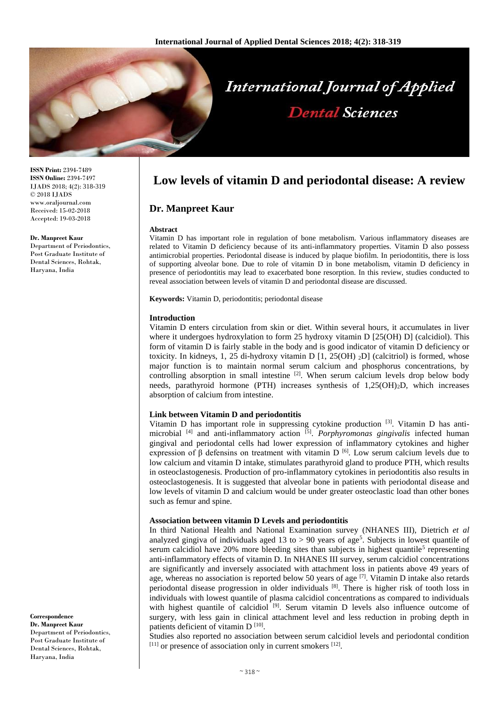

**ISSN Print:** 2394-7489 **ISSN Online:** 2394-7497 IJADS 2018; 4(2): 318-319 © 2018 IJADS www.oraljournal.com Received: 15-02-2018 Accepted: 19-03-2018

#### **Dr. Manpreet Kaur**

Department of Periodontics, Post Graduate Institute of Dental Sciences, Rohtak, Haryana, India

**Correspondence Dr. Manpreet Kaur** Department of Periodontics,

#### Post Graduate Institute of Dental Sciences, Rohtak, Haryana, India

# **Low levels of vitamin D and periodontal disease: A review**

## **Dr. Manpreet Kaur**

#### **Abstract**

Vitamin D has important role in regulation of bone metabolism. Various inflammatory diseases are related to Vitamin D deficiency because of its anti-inflammatory properties. Vitamin D also possess antimicrobial properties. Periodontal disease is induced by plaque biofilm. In periodontitis, there is loss of supporting alveolar bone. Due to role of vitamin D in bone metabolism, vitamin D deficiency in presence of periodontitis may lead to exacerbated bone resorption. In this review, studies conducted to reveal association between levels of vitamin D and periodontal disease are discussed.

**Keywords:** Vitamin D, periodontitis; periodontal disease

## **Introduction**

Vitamin D enters circulation from skin or diet. Within several hours, it accumulates in liver where it undergoes hydroxylation to form 25 hydroxy vitamin D [25(OH) D] (calcidiol). This form of vitamin D is fairly stable in the body and is good indicator of vitamin D deficiency or toxicity. In kidneys, 1, 25 di-hydroxy vitamin D [1, 25(OH) <sup>2</sup>D] (calcitriol) is formed, whose major function is to maintain normal serum calcium and phosphorus concentrations, by controlling absorption in small intestine  $[2]$ . When serum calcium levels drop below body needs, parathyroid hormone (PTH) increases synthesis of 1,25(OH)2D, which increases absorption of calcium from intestine.

## **Link between Vitamin D and periodontitis**

Vitamin D has important role in suppressing cytokine production <sup>[3]</sup>. Vitamin D has antimicrobial [4] and anti-inflammatory action [5] . *Porphyromonas gingivalis* infected human gingival and periodontal cells had lower expression of inflammatory cytokines and higher expression of β defensins on treatment with vitamin D <sup>[6]</sup>. Low serum calcium levels due to low calcium and vitamin D intake, stimulates parathyroid gland to produce PTH, which results in osteoclastogenesis. Production of pro-inflammatory cytokines in periodontitis also results in osteoclastogenesis. It is suggested that alveolar bone in patients with periodontal disease and low levels of vitamin D and calcium would be under greater osteoclastic load than other bones such as femur and spine.

## **Association between vitamin D Levels and periodontitis**

In third National Health and National Examination survey (NHANES III), Dietrich *et al* analyzed gingiva of individuals aged 13 to  $> 90$  years of age<sup>5</sup>. Subjects in lowest quantile of serum calcidiol have  $20\%$  more bleeding sites than subjects in highest quantile<sup>5</sup> representing anti-inflammatory effects of vitamin D. In NHANES III survey, serum calcidiol concentrations are significantly and inversely associated with attachment loss in patients above 49 years of age, whereas no association is reported below 50 years of age <sup>[7]</sup>. Vitamin D intake also retards periodontal disease progression in older individuals [8]. There is higher risk of tooth loss in individuals with lowest quantile of plasma calcidiol concentrations as compared to individuals with highest quantile of calcidiol  $[9]$ . Serum vitamin D levels also influence outcome of surgery, with less gain in clinical attachment level and less reduction in probing depth in patients deficient of vitamin D<sup>[10]</sup>.

Studies also reported no association between serum calcidiol levels and periodontal condition  $[11]$  or presence of association only in current smokers  $[12]$ .